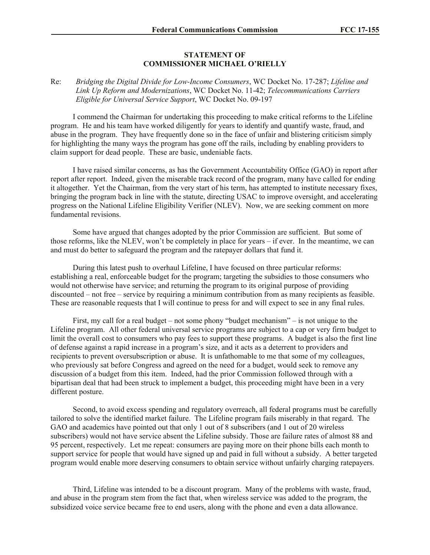## **STATEMENT OF COMMISSIONER MICHAEL O'RIELLY**

## Re: *Bridging the Digital Divide for Low-Income Consumers*, WC Docket No. 17-287; *Lifeline and Link Up Reform and Modernizations*, WC Docket No. 11-42; *Telecommunications Carriers Eligible for Universal Service Support*, WC Docket No. 09-197

I commend the Chairman for undertaking this proceeding to make critical reforms to the Lifeline program. He and his team have worked diligently for years to identify and quantify waste, fraud, and abuse in the program. They have frequently done so in the face of unfair and blistering criticism simply for highlighting the many ways the program has gone off the rails, including by enabling providers to claim support for dead people. These are basic, undeniable facts.

I have raised similar concerns, as has the Government Accountability Office (GAO) in report after report after report. Indeed, given the miserable track record of the program, many have called for ending it altogether. Yet the Chairman, from the very start of his term, has attempted to institute necessary fixes, bringing the program back in line with the statute, directing USAC to improve oversight, and accelerating progress on the National Lifeline Eligibility Verifier (NLEV). Now, we are seeking comment on more fundamental revisions.

Some have argued that changes adopted by the prior Commission are sufficient. But some of those reforms, like the NLEV, won't be completely in place for years – if ever. In the meantime, we can and must do better to safeguard the program and the ratepayer dollars that fund it.

During this latest push to overhaul Lifeline, I have focused on three particular reforms: establishing a real, enforceable budget for the program; targeting the subsidies to those consumers who would not otherwise have service; and returning the program to its original purpose of providing discounted – not free – service by requiring a minimum contribution from as many recipients as feasible. These are reasonable requests that I will continue to press for and will expect to see in any final rules.

First, my call for a real budget – not some phony "budget mechanism" – is not unique to the Lifeline program. All other federal universal service programs are subject to a cap or very firm budget to limit the overall cost to consumers who pay fees to support these programs. A budget is also the first line of defense against a rapid increase in a program's size, and it acts as a deterrent to providers and recipients to prevent oversubscription or abuse. It is unfathomable to me that some of my colleagues, who previously sat before Congress and agreed on the need for a budget, would seek to remove any discussion of a budget from this item. Indeed, had the prior Commission followed through with a bipartisan deal that had been struck to implement a budget, this proceeding might have been in a very different posture.

Second, to avoid excess spending and regulatory overreach, all federal programs must be carefully tailored to solve the identified market failure. The Lifeline program fails miserably in that regard. The GAO and academics have pointed out that only 1 out of 8 subscribers (and 1 out of 20 wireless subscribers) would not have service absent the Lifeline subsidy. Those are failure rates of almost 88 and 95 percent, respectively. Let me repeat: consumers are paying more on their phone bills each month to support service for people that would have signed up and paid in full without a subsidy. A better targeted program would enable more deserving consumers to obtain service without unfairly charging ratepayers.

Third, Lifeline was intended to be a discount program. Many of the problems with waste, fraud, and abuse in the program stem from the fact that, when wireless service was added to the program, the subsidized voice service became free to end users, along with the phone and even a data allowance.